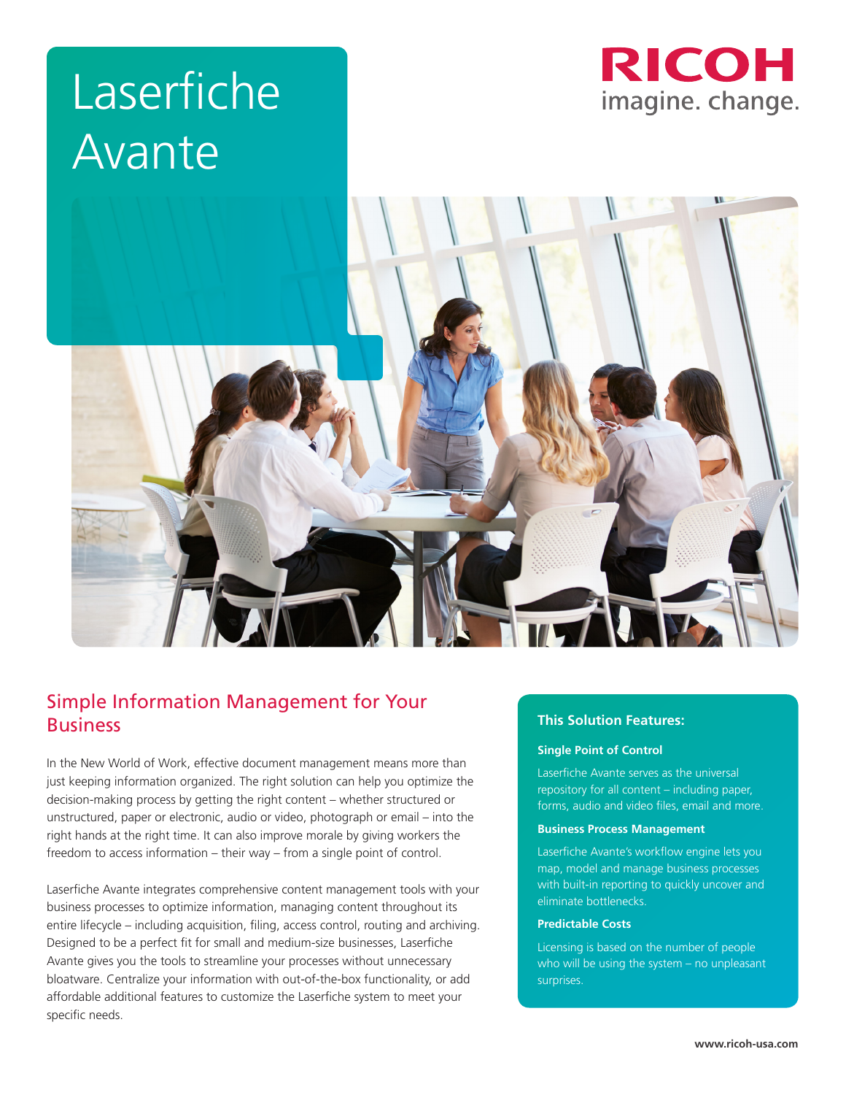# Laserfiche Avante





# Simple Information Management for Your Business

In the New World of Work, effective document management means more than just keeping information organized. The right solution can help you optimize the decision-making process by getting the right content – whether structured or unstructured, paper or electronic, audio or video, photograph or email – into the right hands at the right time. It can also improve morale by giving workers the freedom to access information – their way – from a single point of control.

Laserfiche Avante integrates comprehensive content management tools with your business processes to optimize information, managing content throughout its entire lifecycle – including acquisition, filing, access control, routing and archiving. Designed to be a perfect fit for small and medium-size businesses, Laserfiche Avante gives you the tools to streamline your processes without unnecessary bloatware. Centralize your information with out-of-the-box functionality, or add affordable additional features to customize the Laserfiche system to meet your specific needs.

# **This Solution Features:**

#### **Single Point of Control**

Laserfiche Avante serves as the universal repository for all content – including paper, forms, audio and video files, email and more.

#### **Business Process Management**

Laserfiche Avante's workflow engine lets you map, model and manage business processes with built-in reporting to quickly uncover and eliminate bottlenecks.

#### **Predictable Costs**

Licensing is based on the number of people who will be using the system - no unpleasant surprises.